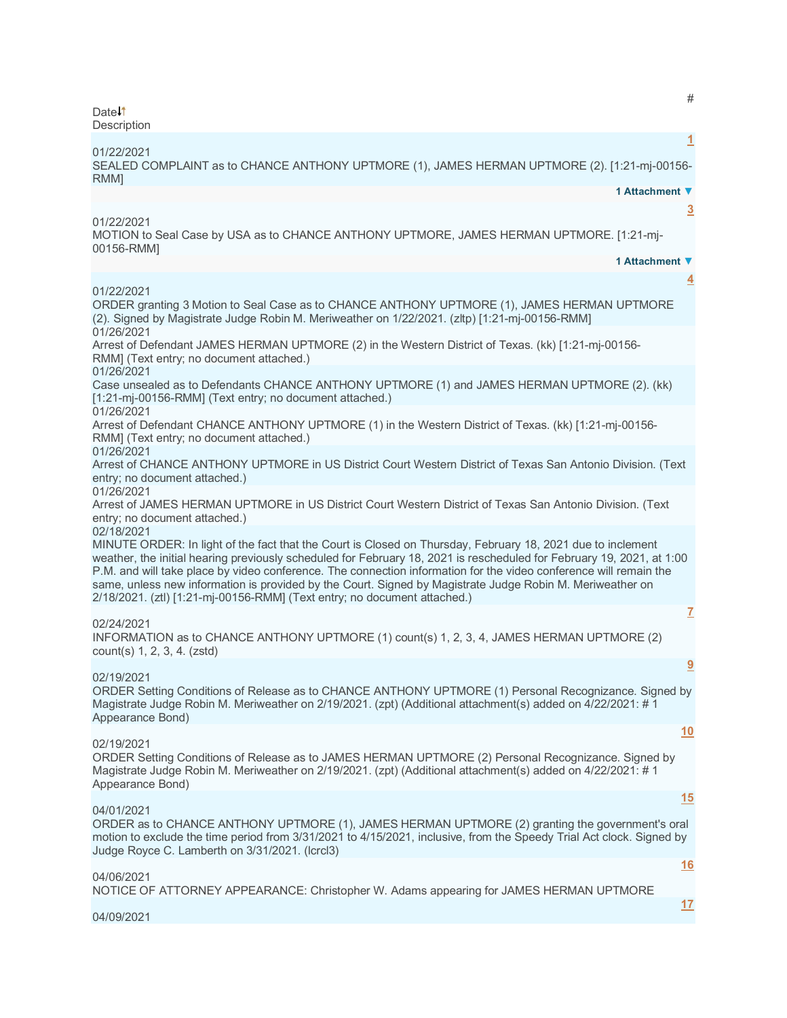Date<sup>1</sup> **Description** 

**[1](javascript:void(0))** 01/22/2021 SEALED COMPLAINT as to CHANCE ANTHONY UPTMORE (1), JAMES HERMAN UPTMORE (2). [1:21-mj-00156- RMM] **1 Attachment ▼ [3](javascript:void(0))** 01/22/2021 MOTION to Seal Case by USA as to CHANCE ANTHONY UPTMORE, JAMES HERMAN UPTMORE. [1:21-mj-00156-RMM] **1 Attachment ▼ [4](javascript:void(0))** 01/22/2021 ORDER granting 3 Motion to Seal Case as to CHANCE ANTHONY UPTMORE (1), JAMES HERMAN UPTMORE (2). Signed by Magistrate Judge Robin M. Meriweather on 1/22/2021. (zltp) [1:21-mj-00156-RMM] 01/26/2021 Arrest of Defendant JAMES HERMAN UPTMORE (2) in the Western District of Texas. (kk) [1:21-mj-00156- RMM] (Text entry; no document attached.) 01/26/2021 Case unsealed as to Defendants CHANCE ANTHONY UPTMORE (1) and JAMES HERMAN UPTMORE (2). (kk) [1:21-mj-00156-RMM] (Text entry; no document attached.) 01/26/2021 Arrest of Defendant CHANCE ANTHONY UPTMORE (1) in the Western District of Texas. (kk) [1:21-mj-00156- RMM] (Text entry; no document attached.) 01/26/2021 Arrest of CHANCE ANTHONY UPTMORE in US District Court Western District of Texas San Antonio Division. (Text entry; no document attached.) 01/26/2021 Arrest of JAMES HERMAN UPTMORE in US District Court Western District of Texas San Antonio Division. (Text entry; no document attached.) 02/18/2021 MINUTE ORDER: In light of the fact that the Court is Closed on Thursday, February 18, 2021 due to inclement weather, the initial hearing previously scheduled for February 18, 2021 is rescheduled for February 19, 2021, at 1:00 P.M. and will take place by video conference. The connection information for the video conference will remain the same, unless new information is provided by the Court. Signed by Magistrate Judge Robin M. Meriweather on 2/18/2021. (ztl) [1:21-mj-00156-RMM] (Text entry; no document attached.) **[7](javascript:void(0))** 02/24/2021 INFORMATION as to CHANCE ANTHONY UPTMORE (1) count(s) 1, 2, 3, 4, JAMES HERMAN UPTMORE (2) count(s) 1, 2, 3, 4. (zstd) **[9](javascript:void(0))** 02/19/2021 ORDER Setting Conditions of Release as to CHANCE ANTHONY UPTMORE (1) Personal Recognizance. Signed by Magistrate Judge Robin M. Meriweather on 2/19/2021. (zpt) (Additional attachment(s) added on 4/22/2021: # 1 Appearance Bond) **[10](javascript:void(0))** 02/19/2021 ORDER Setting Conditions of Release as to JAMES HERMAN UPTMORE (2) Personal Recognizance. Signed by Magistrate Judge Robin M. Meriweather on 2/19/2021. (zpt) (Additional attachment(s) added on 4/22/2021: # 1 Appearance Bond)

#### 04/01/2021

ORDER as to CHANCE ANTHONY UPTMORE (1), JAMES HERMAN UPTMORE (2) granting the government's oral motion to exclude the time period from 3/31/2021 to 4/15/2021, inclusive, from the Speedy Trial Act clock. Signed by Judge Royce C. Lamberth on 3/31/2021. (lcrcl3)

04/06/2021

NOTICE OF ATTORNEY APPEARANCE: Christopher W. Adams appearing for JAMES HERMAN UPTMORE

## 04/09/2021

#

**[15](javascript:void(0))**

**[16](javascript:void(0))**

**[17](javascript:void(0))**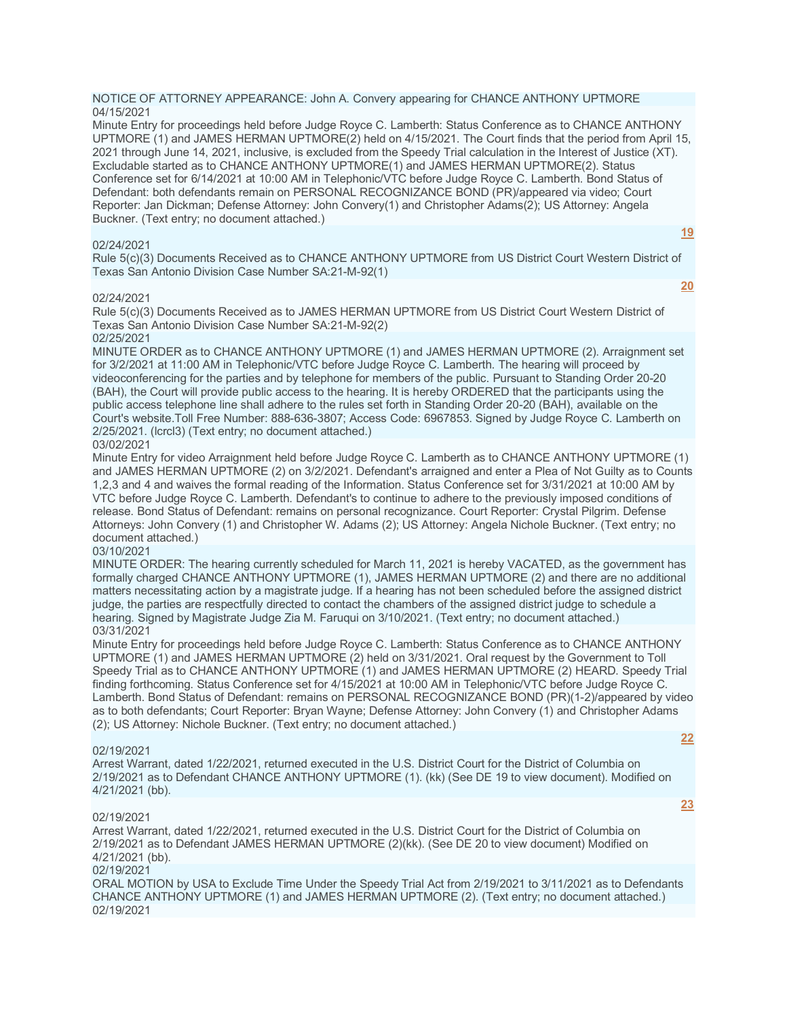### NOTICE OF ATTORNEY APPEARANCE: John A. Convery appearing for CHANCE ANTHONY UPTMORE 04/15/2021

Minute Entry for proceedings held before Judge Royce C. Lamberth: Status Conference as to CHANCE ANTHONY UPTMORE (1) and JAMES HERMAN UPTMORE(2) held on 4/15/2021. The Court finds that the period from April 15, 2021 through June 14, 2021, inclusive, is excluded from the Speedy Trial calculation in the Interest of Justice (XT). Excludable started as to CHANCE ANTHONY UPTMORE(1) and JAMES HERMAN UPTMORE(2). Status Conference set for 6/14/2021 at 10:00 AM in Telephonic/VTC before Judge Royce C. Lamberth. Bond Status of Defendant: both defendants remain on PERSONAL RECOGNIZANCE BOND (PR)/appeared via video; Court Reporter: Jan Dickman; Defense Attorney: John Convery(1) and Christopher Adams(2); US Attorney: Angela Buckner. (Text entry; no document attached.)

### 02/24/2021

**[19](javascript:void(0))**

**[20](javascript:void(0))**

Rule 5(c)(3) Documents Received as to CHANCE ANTHONY UPTMORE from US District Court Western District of Texas San Antonio Division Case Number SA:21-M-92(1)

### 02/24/2021

Rule 5(c)(3) Documents Received as to JAMES HERMAN UPTMORE from US District Court Western District of Texas San Antonio Division Case Number SA:21-M-92(2)

02/25/2021

MINUTE ORDER as to CHANCE ANTHONY UPTMORE (1) and JAMES HERMAN UPTMORE (2). Arraignment set for 3/2/2021 at 11:00 AM in Telephonic/VTC before Judge Royce C. Lamberth. The hearing will proceed by videoconferencing for the parties and by telephone for members of the public. Pursuant to Standing Order 20-20 (BAH), the Court will provide public access to the hearing. It is hereby ORDERED that the participants using the public access telephone line shall adhere to the rules set forth in Standing Order 20-20 (BAH), available on the Court's website.Toll Free Number: 888-636-3807; Access Code: 6967853. Signed by Judge Royce C. Lamberth on 2/25/2021. (lcrcl3) (Text entry; no document attached.)

# 03/02/2021

Minute Entry for video Arraignment held before Judge Royce C. Lamberth as to CHANCE ANTHONY UPTMORE (1) and JAMES HERMAN UPTMORE (2) on 3/2/2021. Defendant's arraigned and enter a Plea of Not Guilty as to Counts 1,2,3 and 4 and waives the formal reading of the Information. Status Conference set for 3/31/2021 at 10:00 AM by VTC before Judge Royce C. Lamberth. Defendant's to continue to adhere to the previously imposed conditions of release. Bond Status of Defendant: remains on personal recognizance. Court Reporter: Crystal Pilgrim. Defense Attorneys: John Convery (1) and Christopher W. Adams (2); US Attorney: Angela Nichole Buckner. (Text entry; no document attached.)

# 03/10/2021

MINUTE ORDER: The hearing currently scheduled for March 11, 2021 is hereby VACATED, as the government has formally charged CHANCE ANTHONY UPTMORE (1), JAMES HERMAN UPTMORE (2) and there are no additional matters necessitating action by a magistrate judge. If a hearing has not been scheduled before the assigned district judge, the parties are respectfully directed to contact the chambers of the assigned district judge to schedule a hearing. Signed by Magistrate Judge Zia M. Faruqui on  $3/10/2021$ . (Text entry; no document attached.) 03/31/2021

Minute Entry for proceedings held before Judge Royce C. Lamberth: Status Conference as to CHANCE ANTHONY UPTMORE (1) and JAMES HERMAN UPTMORE (2) held on 3/31/2021. Oral request by the Government to Toll Speedy Trial as to CHANCE ANTHONY UPTMORE (1) and JAMES HERMAN UPTMORE (2) HEARD. Speedy Trial finding forthcoming. Status Conference set for 4/15/2021 at 10:00 AM in Telephonic/VTC before Judge Royce C. Lamberth. Bond Status of Defendant: remains on PERSONAL RECOGNIZANCE BOND (PR)(1-2)/appeared by video as to both defendants; Court Reporter: Bryan Wayne; Defense Attorney: John Convery (1) and Christopher Adams (2); US Attorney: Nichole Buckner. (Text entry; no document attached.)

## 02/19/2021

Arrest Warrant, dated 1/22/2021, returned executed in the U.S. District Court for the District of Columbia on 2/19/2021 as to Defendant CHANCE ANTHONY UPTMORE (1). (kk) (See DE 19 to view document). Modified on 4/21/2021 (bb).

## 02/19/2021

Arrest Warrant, dated 1/22/2021, returned executed in the U.S. District Court for the District of Columbia on 2/19/2021 as to Defendant JAMES HERMAN UPTMORE (2)(kk). (See DE 20 to view document) Modified on 4/21/2021 (bb).

## 02/19/2021

ORAL MOTION by USA to Exclude Time Under the Speedy Trial Act from 2/19/2021 to 3/11/2021 as to Defendants CHANCE ANTHONY UPTMORE (1) and JAMES HERMAN UPTMORE (2). (Text entry; no document attached.) 02/19/2021

## **[22](javascript:void(0))**

**[23](javascript:void(0))**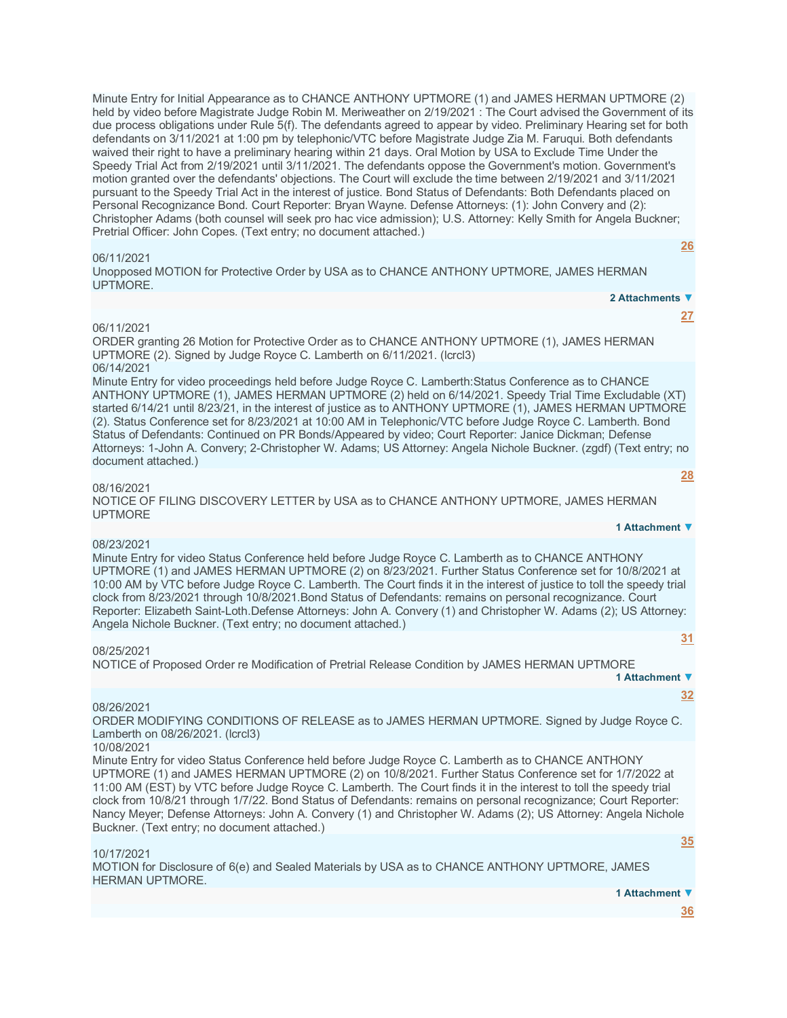Minute Entry for Initial Appearance as to CHANCE ANTHONY UPTMORE (1) and JAMES HERMAN UPTMORE (2) held by video before Magistrate Judge Robin M. Meriweather on 2/19/2021 : The Court advised the Government of its due process obligations under Rule 5(f). The defendants agreed to appear by video. Preliminary Hearing set for both defendants on 3/11/2021 at 1:00 pm by telephonic/VTC before Magistrate Judge Zia M. Faruqui. Both defendants waived their right to have a preliminary hearing within 21 days. Oral Motion by USA to Exclude Time Under the Speedy Trial Act from 2/19/2021 until 3/11/2021. The defendants oppose the Government's motion. Government's motion granted over the defendants' objections. The Court will exclude the time between 2/19/2021 and 3/11/2021 pursuant to the Speedy Trial Act in the interest of justice. Bond Status of Defendants: Both Defendants placed on Personal Recognizance Bond. Court Reporter: Bryan Wayne. Defense Attorneys: (1): John Convery and (2): Christopher Adams (both counsel will seek pro hac vice admission); U.S. Attorney: Kelly Smith for Angela Buckner; Pretrial Officer: John Copes. (Text entry; no document attached.)

### 06/11/2021

Unopposed MOTION for Protective Order by USA as to CHANCE ANTHONY UPTMORE, JAMES HERMAN UPTMORE.

#### **2 Attachments ▼**

**[27](javascript:void(0))**

**[28](javascript:void(0))**

**[31](javascript:void(0))**

**[32](javascript:void(0))**

**1 Attachment ▼**

**[26](javascript:void(0))**

## 06/11/2021

ORDER granting 26 Motion for Protective Order as to CHANCE ANTHONY UPTMORE (1), JAMES HERMAN UPTMORE (2). Signed by Judge Royce C. Lamberth on 6/11/2021. (lcrcl3) 06/14/2021

Minute Entry for video proceedings held before Judge Royce C. Lamberth:Status Conference as to CHANCE ANTHONY UPTMORE (1), JAMES HERMAN UPTMORE (2) held on 6/14/2021. Speedy Trial Time Excludable (XT) started 6/14/21 until 8/23/21, in the interest of justice as to ANTHONY UPTMORE (1), JAMES HERMAN UPTMORE (2). Status Conference set for 8/23/2021 at 10:00 AM in Telephonic/VTC before Judge Royce C. Lamberth. Bond Status of Defendants: Continued on PR Bonds/Appeared by video; Court Reporter: Janice Dickman; Defense Attorneys: 1-John A. Convery; 2-Christopher W. Adams; US Attorney: Angela Nichole Buckner. (zgdf) (Text entry; no document attached.)

### 08/16/2021

NOTICE OF FILING DISCOVERY LETTER by USA as to CHANCE ANTHONY UPTMORE, JAMES HERMAN UPTMORE

### 08/23/2021

Minute Entry for video Status Conference held before Judge Royce C. Lamberth as to CHANCE ANTHONY UPTMORE (1) and JAMES HERMAN UPTMORE (2) on 8/23/2021. Further Status Conference set for 10/8/2021 at 10:00 AM by VTC before Judge Royce C. Lamberth. The Court finds it in the interest of justice to toll the speedy trial clock from 8/23/2021 through 10/8/2021.Bond Status of Defendants: remains on personal recognizance. Court Reporter: Elizabeth Saint-Loth.Defense Attorneys: John A. Convery (1) and Christopher W. Adams (2); US Attorney: Angela Nichole Buckner. (Text entry; no document attached.)

#### 08/25/2021

NOTICE of Proposed Order re Modification of Pretrial Release Condition by JAMES HERMAN UPTMORE **1 Attachment ▼**

### 08/26/2021

ORDER MODIFYING CONDITIONS OF RELEASE as to JAMES HERMAN UPTMORE. Signed by Judge Royce C. Lamberth on 08/26/2021. (lcrcl3)

### 10/08/2021

Minute Entry for video Status Conference held before Judge Royce C. Lamberth as to CHANCE ANTHONY UPTMORE (1) and JAMES HERMAN UPTMORE (2) on 10/8/2021. Further Status Conference set for 1/7/2022 at 11:00 AM (EST) by VTC before Judge Royce C. Lamberth. The Court finds it in the interest to toll the speedy trial clock from 10/8/21 through 1/7/22. Bond Status of Defendants: remains on personal recognizance; Court Reporter: Nancy Meyer; Defense Attorneys: John A. Convery (1) and Christopher W. Adams (2); US Attorney: Angela Nichole Buckner. (Text entry; no document attached.)

#### 10/17/2021

MOTION for Disclosure of 6(e) and Sealed Materials by USA as to CHANCE ANTHONY UPTMORE, JAMES HERMAN UPTMORE.

#### **1 Attachment ▼**

**[36](javascript:void(0))**

**[35](javascript:void(0))**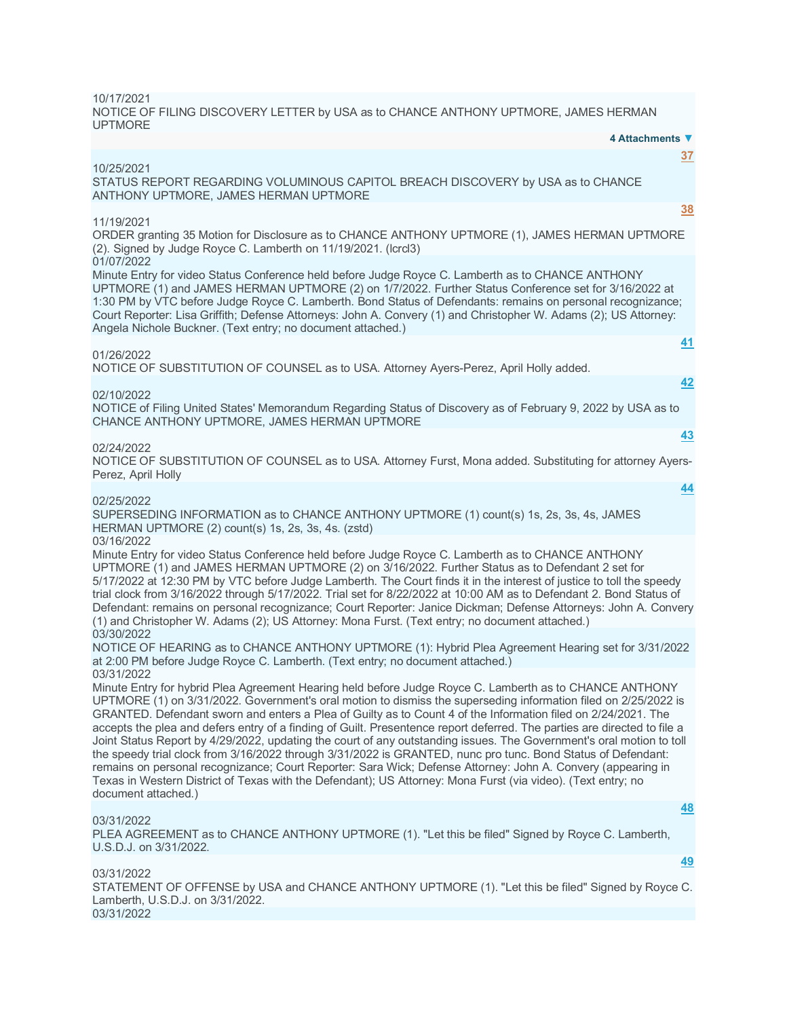10/17/2021 NOTICE OF FILING DISCOVERY LETTER by USA as to CHANCE ANTHONY UPTMORE, JAMES HERMAN UPTMORE

| 4 Attachments ▼                                                                                                                                                                                                                                                                                                                                                                                                                                                                                                                                                                                                                                                                                                                                                                                                                                                                                                                                                                      |
|--------------------------------------------------------------------------------------------------------------------------------------------------------------------------------------------------------------------------------------------------------------------------------------------------------------------------------------------------------------------------------------------------------------------------------------------------------------------------------------------------------------------------------------------------------------------------------------------------------------------------------------------------------------------------------------------------------------------------------------------------------------------------------------------------------------------------------------------------------------------------------------------------------------------------------------------------------------------------------------|
| 37<br>10/25/2021<br>STATUS REPORT REGARDING VOLUMINOUS CAPITOL BREACH DISCOVERY by USA as to CHANCE<br>ANTHONY UPTMORE, JAMES HERMAN UPTMORE                                                                                                                                                                                                                                                                                                                                                                                                                                                                                                                                                                                                                                                                                                                                                                                                                                         |
| 38                                                                                                                                                                                                                                                                                                                                                                                                                                                                                                                                                                                                                                                                                                                                                                                                                                                                                                                                                                                   |
| 11/19/2021<br>ORDER granting 35 Motion for Disclosure as to CHANCE ANTHONY UPTMORE (1), JAMES HERMAN UPTMORE<br>(2). Signed by Judge Royce C. Lamberth on 11/19/2021. (Icrcl3)                                                                                                                                                                                                                                                                                                                                                                                                                                                                                                                                                                                                                                                                                                                                                                                                       |
| 01/07/2022<br>Minute Entry for video Status Conference held before Judge Royce C. Lamberth as to CHANCE ANTHONY<br>UPTMORE (1) and JAMES HERMAN UPTMORE (2) on 1/7/2022. Further Status Conference set for 3/16/2022 at<br>1:30 PM by VTC before Judge Royce C. Lamberth. Bond Status of Defendants: remains on personal recognizance;<br>Court Reporter: Lisa Griffith; Defense Attorneys: John A. Convery (1) and Christopher W. Adams (2); US Attorney:<br>Angela Nichole Buckner. (Text entry; no document attached.)                                                                                                                                                                                                                                                                                                                                                                                                                                                            |
| 41                                                                                                                                                                                                                                                                                                                                                                                                                                                                                                                                                                                                                                                                                                                                                                                                                                                                                                                                                                                   |
| 01/26/2022<br>NOTICE OF SUBSTITUTION OF COUNSEL as to USA. Attorney Ayers-Perez, April Holly added.                                                                                                                                                                                                                                                                                                                                                                                                                                                                                                                                                                                                                                                                                                                                                                                                                                                                                  |
| 42                                                                                                                                                                                                                                                                                                                                                                                                                                                                                                                                                                                                                                                                                                                                                                                                                                                                                                                                                                                   |
| 02/10/2022<br>NOTICE of Filing United States' Memorandum Regarding Status of Discovery as of February 9, 2022 by USA as to<br>CHANCE ANTHONY UPTMORE, JAMES HERMAN UPTMORE                                                                                                                                                                                                                                                                                                                                                                                                                                                                                                                                                                                                                                                                                                                                                                                                           |
| 43                                                                                                                                                                                                                                                                                                                                                                                                                                                                                                                                                                                                                                                                                                                                                                                                                                                                                                                                                                                   |
| 02/24/2022<br>NOTICE OF SUBSTITUTION OF COUNSEL as to USA. Attorney Furst, Mona added. Substituting for attorney Ayers-<br>Perez, April Holly                                                                                                                                                                                                                                                                                                                                                                                                                                                                                                                                                                                                                                                                                                                                                                                                                                        |
| <u>44</u>                                                                                                                                                                                                                                                                                                                                                                                                                                                                                                                                                                                                                                                                                                                                                                                                                                                                                                                                                                            |
| 02/25/2022<br>SUPERSEDING INFORMATION as to CHANCE ANTHONY UPTMORE (1) count(s) 1s, 2s, 3s, 4s, JAMES<br>HERMAN UPTMORE (2) count(s) 1s, 2s, 3s, 4s. (zstd)                                                                                                                                                                                                                                                                                                                                                                                                                                                                                                                                                                                                                                                                                                                                                                                                                          |
| 03/16/2022<br>Minute Entry for video Status Conference held before Judge Royce C. Lamberth as to CHANCE ANTHONY<br>UPTMORE (1) and JAMES HERMAN UPTMORE (2) on 3/16/2022. Further Status as to Defendant 2 set for<br>5/17/2022 at 12:30 PM by VTC before Judge Lamberth. The Court finds it in the interest of justice to toll the speedy<br>trial clock from 3/16/2022 through 5/17/2022. Trial set for 8/22/2022 at 10:00 AM as to Defendant 2. Bond Status of<br>Defendant: remains on personal recognizance; Court Reporter: Janice Dickman; Defense Attorneys: John A. Convery<br>(1) and Christopher W. Adams (2); US Attorney: Mona Furst. (Text entry; no document attached.)                                                                                                                                                                                                                                                                                               |
| 03/30/2022<br>NOTICE OF HEARING as to CHANCE ANTHONY UPTMORE (1): Hybrid Plea Agreement Hearing set for 3/31/2022<br>at 2:00 PM before Judge Royce C. Lamberth. (Text entry; no document attached.)                                                                                                                                                                                                                                                                                                                                                                                                                                                                                                                                                                                                                                                                                                                                                                                  |
| 03/31/2022<br>Minute Entry for hybrid Plea Agreement Hearing held before Judge Royce C. Lamberth as to CHANCE ANTHONY<br>UPTMORE (1) on 3/31/2022. Government's oral motion to dismiss the superseding information filed on 2/25/2022 is<br>GRANTED. Defendant sworn and enters a Plea of Guilty as to Count 4 of the Information filed on 2/24/2021. The<br>accepts the plea and defers entry of a finding of Guilt. Presentence report deferred. The parties are directed to file a<br>Joint Status Report by 4/29/2022, updating the court of any outstanding issues. The Government's oral motion to toll<br>the speedy trial clock from 3/16/2022 through 3/31/2022 is GRANTED, nunc pro tunc. Bond Status of Defendant:<br>remains on personal recognizance; Court Reporter: Sara Wick; Defense Attorney: John A. Convery (appearing in<br>Texas in Western District of Texas with the Defendant); US Attorney: Mona Furst (via video). (Text entry; no<br>document attached.) |
| 48                                                                                                                                                                                                                                                                                                                                                                                                                                                                                                                                                                                                                                                                                                                                                                                                                                                                                                                                                                                   |
| 03/31/2022<br>PLEA AGREEMENT as to CHANCE ANTHONY UPTMORE (1). "Let this be filed" Signed by Royce C. Lamberth,<br>U.S.D.J. on 3/31/2022.                                                                                                                                                                                                                                                                                                                                                                                                                                                                                                                                                                                                                                                                                                                                                                                                                                            |
| 49<br>03/31/2022                                                                                                                                                                                                                                                                                                                                                                                                                                                                                                                                                                                                                                                                                                                                                                                                                                                                                                                                                                     |

STATEMENT OF OFFENSE by USA and CHANCE ANTHONY UPTMORE (1). "Let this be filed" Signed by Royce C. Lamberth, U.S.D.J. on 3/31/2022. 03/31/2022